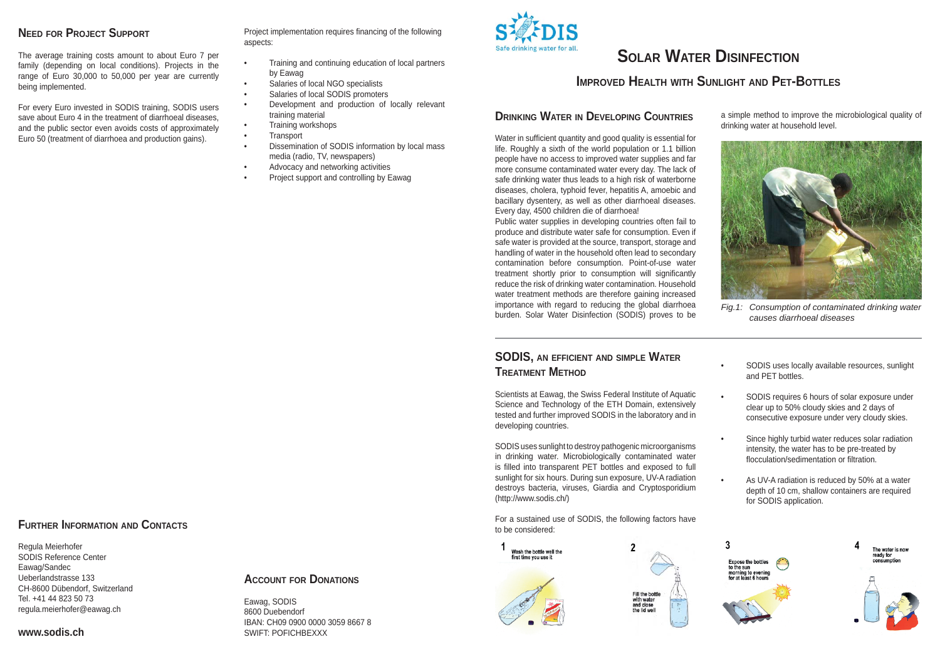### **NEED FOR PROJECT SUPPORT**

The average training costs amount to about Euro 7 per family (depending on local conditions). Projects in the range of Euro 30,000 to 50,000 per year are currently being implemented.

For every Euro invested in SODIS training, SODIS users save about Euro 4 in the treatment of diarrhoeal diseases, and the public sector even avoids costs of approximately Euro 50 (treatment of diarrhoea and production gains).

Project implementation requires financing of the following aspects:

- Training and continuing education of local partners by Eawag
- Salaries of local NGO specialists
- Salaries of local SODIS promoters
- Development and production of locally relevant training material
- Training workshops
- Transport
- Dissemination of SODIS information by local mass media (radio, TV, newspapers)
- Advocacy and networking activities
- Project support and controlling by Eawag



# **SOLAR WATER DISINFECTION**

# **IMPROVED HEALTH WITH SUNLIGHT AND PET-BOTTLES**

### **DRINKING WATER IN DEVELOPING COUNTRIES**

Water in sufficient quantity and good quality is essential for life. Roughly a sixth of the world population or 1.1 billion people have no access to improved water supplies and far more consume contaminated water every day. The lack of safe drinking water thus leads to a high risk of waterborne diseases, cholera, typhoid fever, hepatitis A, amoebic and bacillary dysentery, as well as other diarrhoeal diseases. Every day, 4500 children die of diarrhoea!

Public water supplies in developing countries often fail to produce and distribute water safe for consumption. Even if safe water is provided at the source, transport, storage and handling of water in the household often lead to secondary contamination before consumption. Point-of-use water treatment shortly prior to consumption will significantly reduce the risk of drinking water contamination. Household water treatment methods are therefore gaining increased importance with regard to reducing the global diarrhoea burden. Solar Water Disinfection (SODIS) proves to be *Fig.1: Consumption of contaminated drinking water causes diarrhoeal diseases*

a simple method to improve the microbiological quality of drinking water at household level.



### **SODIS, AN EFFICIENT AND SIMPLE WATER TREATMENT METHOD**

Scientists at Eawag, the Swiss Federal Institute of Aquatic Science and Technology of the ETH Domain, extensively tested and further improved SODIS in the laboratory and in developing countries.

SODIS uses sunlight to destroy pathogenic microorganisms in drinking water. Microbiologically contaminated water is filled into transparent PET bottles and exposed to full sunlight for six hours. During sun exposure, UV-A radiation destroys bacteria, viruses, Giardia and Cryptosporidium (http://www.sodis.ch/)

For a sustained use of SODIS, the following factors have to be considered:



- SODIS uses locally available resources, sunlight and PET bottles.
- SODIS requires 6 hours of solar exposure under clear up to 50% cloudy skies and 2 days of consecutive exposure under very cloudy skies.
- Since highly turbid water reduces solar radiation intensity, the water has to be pre-treated by flocculation/sedimentation or filtration
- As UV-A radiation is reduced by 50% at a water depth of 10 cm, shallow containers are required for SODIS application.



# **FURTHER INFORMATION AND CONTACTS**

Regula Meierhofer SODIS Reference Center Eawag/Sandec Ueberlandstrasse 133CH-8600 Dübendorf, Switzerland Tel. +41 44 823 50 73regula.meierhofer@eawag.ch

### **ACCOUNT FOR DONATIONS**

Eawag, SODIS 8600 DuebendorfIBAN: CH09 0900 0000 3059 8667 8SWIFT: POFICHBEXXX

**www.sodis.ch**